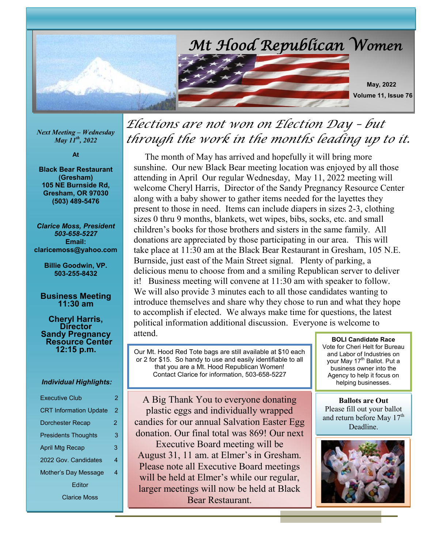

*Next Meeting – Wednesday May 11th, 2022*

**At**

**Black Bear Restaurant (Gresham) 105 NE Burnside Rd, Gresham, OR 97030 (503) 489-5476**

*Clarice Moss, President 503-658-5227* **Email: claricemoss@yahoo.com**

> **Billie Goodwin, VP. 503-255-8432**

#### **Business Meeting 11:30 am**

**Cheryl Harris, Director Sandy Pregnancy Resource Center 12:15 p.m.**

#### *Individual Highlights:*

| <b>Executive Club</b>         | $\overline{2}$ |
|-------------------------------|----------------|
| <b>CRT Information Update</b> | 2              |
| <b>Dorchester Recap</b>       | 2              |
| <b>Presidents Thoughts</b>    | 3              |
| April Mtg Recap               | 3              |
| 2022 Gov. Candidates          | 4              |
| Mother's Day Message          | 4              |
| Fditor                        |                |
| <b>Clarice Moss</b>           |                |

## *Elections are not won on Election Day – but through the work in the months leading up to it.*

 The month of May has arrived and hopefully it will bring more sunshine. Our new Black Bear meeting location was enjoyed by all those attending in April Our regular Wednesday, May 11, 2022 meeting will welcome Cheryl Harris, Director of the Sandy Pregnancy Resource Center along with a baby shower to gather items needed for the layettes they present to those in need. Items can include diapers in sizes 2-3, clothing sizes 0 thru 9 months, blankets, wet wipes, bibs, socks, etc. and small children's books for those brothers and sisters in the same family. All donations are appreciated by those participating in our area. This will take place at 11:30 am at the Black Bear Restaurant in Gresham, 105 N.E. Burnside, just east of the Main Street signal. Plenty of parking, a delicious menu to choose from and a smiling Republican server to deliver it! Business meeting will convene at 11:30 am with speaker to follow. We will also provide 3 minutes each to all those candidates wanting to introduce themselves and share why they chose to run and what they hope to accomplish if elected. We always make time for questions, the latest political information additional discussion. Everyone is welcome to attend.

Our Mt. Hood Red Tote bags are still available at \$10 each or 2 for \$15. So handy to use and easily identifiable to all that you are a Mt. Hood Republican Women! Contact Clarice for information, 503-658-5227

A Big Thank You to everyone donating plastic eggs and individually wrapped candies for our annual Salvation Easter Egg donation. Our final total was 869! Our next Executive Board meeting will be August 31, 11 am. at Elmer's in Gresham. Please note all Executive Board meetings will be held at Elmer's while our regular, larger meetings will now be held at Black Bear Restaurant.

**BOLI Candidate Race** Vote for Cheri Helt for Bureau and Labor of Industries on your May 17<sup>th</sup> Ballot. Put a business owner into the Agency to help it focus on helping businesses.

**Ballots are Out** Please fill out your ballot and return before May 17<sup>th</sup> Deadline.

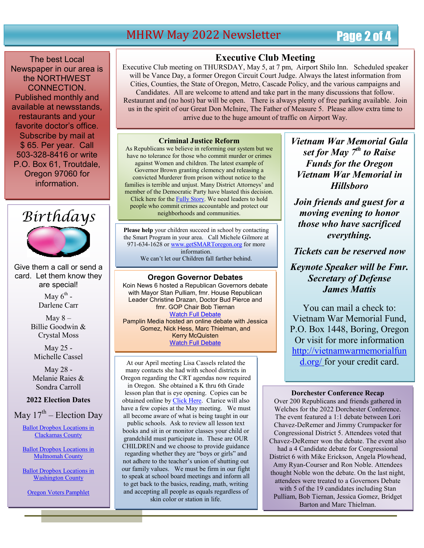### MHRW May 2022 Newsletter Page 2 of 4

The best Local Newspaper in our area is the NORTHWEST CONNECTION. Published monthly and available at newsstands, restaurants and your favorite doctor's office. Subscribe by mail at \$ 65. Per year. Call 503-328-8416 or write P.O. Box 61, Troutdale, Oregon 97060 for information.



Give them a call or send a card. Let them know they are special!

> May  $6^{\text{th}}$  -Darlene Carr

May  $8-$ Billie Goodwin & Crystal Moss

May 25 - Michelle Cassel

May 28 - Melanie Raies & Sondra Carroll

#### **2022 Election Dates**

May  $17^{\text{th}}$  – Election Day

Ballot Dropbox Locations in Clackamas County

Ballot Dropbox Locations in Multnomah County

Ballot Dropbox Locations in Washington County

Oregon Voters Pamphlet

#### **Executive Club Meeting**

Executive Club meeting on THURSDAY, May 5, at 7 pm, Airport Shilo Inn. Scheduled speaker will be Vance Day, a former Oregon Circuit Court Judge. Always the latest information from Cities, Counties, the State of Oregon, Metro, Cascade Policy, and the various campaigns and Candidates. All are welcome to attend and take part in the many discussions that follow. Restaurant and (no host) bar will be open. There is always plenty of free parking available. Join us in the spirit of our Great Don McInire, The Father of Measure 5. Please allow extra time to arrive due to the huge amount of traffic on Airport Way.

#### **Criminal Justice Reform**

As Republicans we believe in reforming our system but we have no tolerance for those who commit murder or crimes against Women and children. The latest example of Governor Brown granting clemency and releasing a convicted Murderer from prison without notice to the families is terrible and unjust. Many District Attorneys' and member of the Democratic Party have blasted this decision. Click here for the Fully Story. We need leaders to hold people who commit crimes accountable and protect our neighborhoods and communities.

. **Please help** your children succeed in school by contacting the Smart Program in your area. Call Michele Gilmore at 971-634-1628 or www.getSMARToregon.org for more information. We can't let our Children fall farther behind.

#### **Oregon Governor Debates**

Koin News 6 hosted a Republican Governors debate with Mayor Stan Pulliam, fmr. House Republican Leader Christine Drazan, Doctor Bud Pierce and fmr. GOP Chair Bob Tiernan Watch Full Debate Pamplin Media hosted an online debate with Jessica Gomez, Nick Hess, Marc Thielman, and Kerry McQuisten

**Watch Full Debate** 

At our April meeting Lisa Cassels related the many contacts she had with school districts in Oregon regarding the CRT agendas now required in Oregon. She obtained a K thru 6th Grade lesson plan that is eye opening. Copies can be obtained online by Click Here. Clarice will also have a few copies at the May meeting. We must all become aware of what is being taught in our public schools. Ask to review all lesson text books and sit in or monitor classes your child or grandchild must participate in. These are OUR

CHILDREN and we choose to provide guidance regarding whether they are "boys or girls" and not adhere to the teacher's union of shutting out our family values. We must be firm in our fight to speak at school board meetings and inform all to get back to the basics, reading, math, writing and accepting all people as equals regardless of skin color or station in life.

*Vietnam War Memorial Gala set for May 7 th to Raise Funds for the Oregon Vietnam War Memorial in Hillsboro*

*Join friends and guest for a moving evening to honor those who have sacrificed everything.*

*Tickets can be reserved now*

### *Keynote Speaker will be Fmr. Secretary of Defense James Mattis*

You can mail a check to: Vietnam War Memorial Fund, P.O. Box 1448, Boring, Oregon Or visit for more information http://vietnamwarmemorialfun d.org/ for your credit card.

#### **Dorchester Conference Recap**

Over 200 Republicans and friends gathered in Welches for the 2022 Dorchester Conference. The event featured a 1:1 debate between Lori Chavez-DeRemer and Jimmy Crumpacker for Congressional District 5. Attendees voted that Chavez-DeRemer won the debate. The event also had a 4 Candidate debate for Congressional District 6 with Mike Erickson, Angela Plowhead, Amy Ryan-Courser and Ron Noble. Attendees thought Noble won the debate. On the last night, attendees were treated to a Governors Debate with 5 of the 19 candidates including Stan Pulliam, Bob Tiernan, Jessica Gomez, Bridget Barton and Marc Thielman.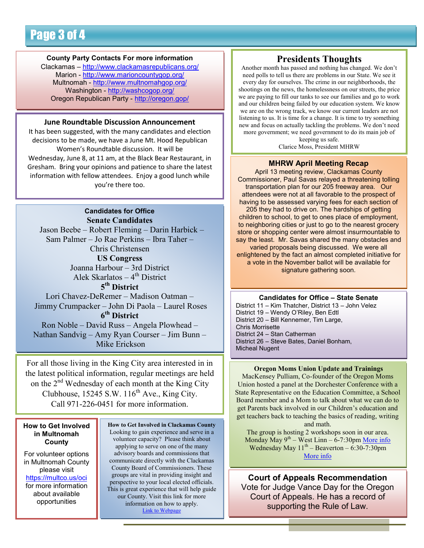#### **County Party Contacts For more information**

Clackamas – http://www.clackamasrepublicans.org/ Marion - http://www.marioncountygop.org/ Multnomah - http://www.multnomahgop.org/ Washington - http://washcogop.org/ Oregon Republican Party - http://oregon.gop/

#### **June Roundtable Discussion Announcement**

It has been suggested, with the many candidates and election decisions to be made, we have a June Mt. Hood Republican Women's Roundtable discussion. It will be Wednesday, June 8, at 11 am, at the Black Bear Restaurant, in Gresham. Bring your opinions and patience to share the latest information with fellow attendees. Enjoy a good lunch while you're there too.

#### **Candidates for Office Senate Candidates**

 Jason Beebe – Robert Fleming – Darin Harbick – Sam Palmer – Jo Rae Perkins – Ibra Taher – Chris Christensen **US Congress** Joanna Harbour – 3rd District Alek Skarlatos – 4<sup>th</sup> District **5 th District**  Lori Chavez-DeRemer – Madison Oatman – Jimmy Crumpacker – John Di Paola – Laurel Roses **6 th District**

Ron Noble – David Russ – Angela Plowhead – Nathan Sandvig – Amy Ryan Courser – Jim Bunn – Mike Erickson

For all those living in the King City area interested in in the latest political information, regular meetings are held on the 2<sup>nd</sup> Wednesday of each month at the King City Clubhouse,  $15245$  S.W.  $116^{th}$  Ave., King City. Call 971-226-0451 for more information.

#### **How to Get Involved in Multnomah County**

For volunteer options in Multnomah County please visit https://multco.us/oci for more information about available opportunities

**How to Get Involved in Clackamas County** Looking to gain experience and serve in a volunteer capacity? Please think about applying to serve on one of the many advisory boards and commissions that communicate directly with the Clackamas County Board of Commissioners. These groups are vital in providing insight and perspective to your local elected officials. This is great experience that will help guide our County. Visit this link for more information on how to apply. Link to Webpage

#### **Presidents Thoughts**

Another month has passed and nothing has changed. We don't need polls to tell us there are problems in our State. We see it every day for ourselves. The crime in our neighborhoods, the shootings on the news, the homelessness on our streets, the price we are paying to fill our tanks to see our families and go to work and our children being failed by our education system. We know we are on the wrong track, we know our current leaders are not listening to us. It is time for a change. It is time to try something new and focus on actually tackling the problems. We don't need more government; we need government to do its main job of

keeping us safe. Clarice Moss, President MHRW

#### **MHRW April Meeting Recap**

April 13 meeting review, Clackamas County Commissioner, Paul Savas relayed a threatening tolling transportation plan for our 205 freeway area. Our attendees were not at all favorable to the prospect of having to be assessed varying fees for each section of 205 they had to drive on. The hardships of getting children to school, to get to ones place of employment, to neighboring cities or just to go to the nearest grocery store or shopping center were almost insurmountable to say the least. Mr. Savas shared the many obstacles and varied proposals being discussed. We were all enlightened by the fact an almost completed initiative for a vote in the November ballot will be available for signature gathering soon.

#### **Candidates for Office – State Senate**

District 11 – Kim Thatcher, District 13 – John Velez District 19 – Wendy O'Riley, Ben Edtl District 20 – Bill Kennemer, Tim Large, Chris Morrisette District 24 – Stan Catherman District 26 – Steve Bates, Daniel Bonham, Micheal Nugent

#### **Oregon Moms Union Update and Trainings**

MacKensey Pulliam, Co-founder of the Oregon Moms Union hosted a panel at the Dorchester Conference with a State Representative on the Education Committee, a School Board member and a Mom to talk about what we can do to get Parents back involved in our Children's education and get teachers back to teaching the basics of reading, writing and math.

The group is hosting 2 workshops soon in our area. Monday May  $9^{th}$  – West Linn – 6-7:30pm More info Wednesday May  $11<sup>th</sup>$  – Beaverton – 6:30-7:30pm More info

**Court of Appeals Recommendation** Vote for Judge Vance Day for the Oregon Court of Appeals. He has a record of supporting the Rule of Law.